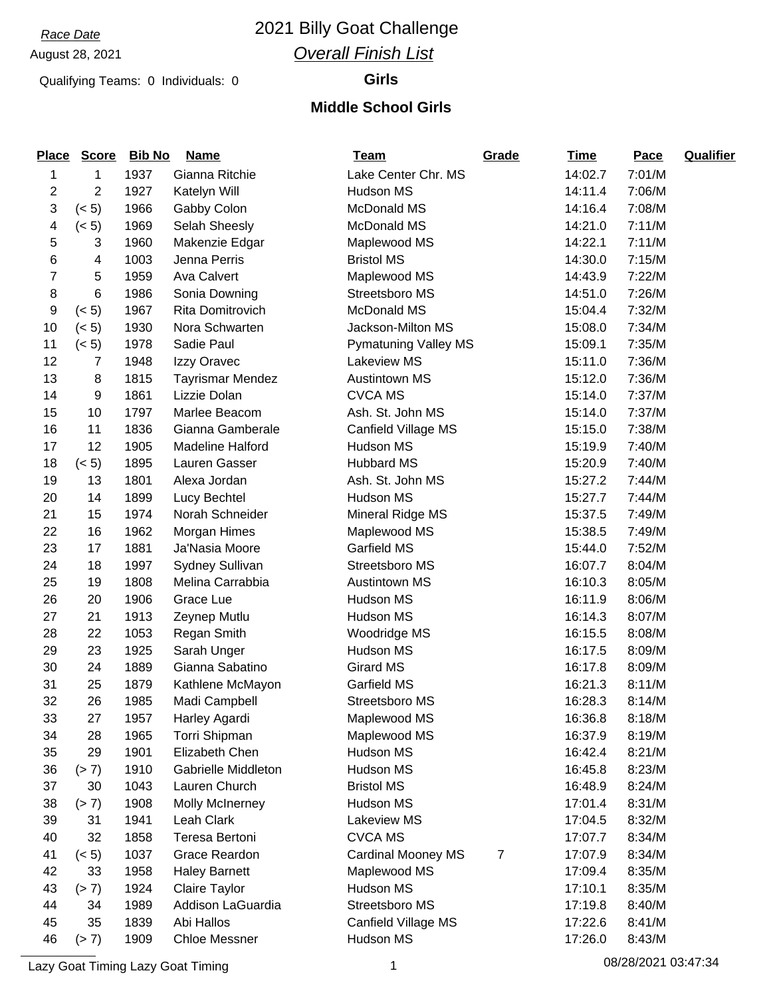### *Race Date* 2021 Billy Goat Challenge *Overall Finish List*

### Qualifying Teams: 0 Individuals: 0 **Girls**

#### **Middle School Girls**

| <b>Place</b> | <b>Score</b>   | <b>Bib No</b> | <b>Name</b>             | <u>Team</u>                 | Grade | <b>Time</b> | Pace   | <b>Qualifier</b> |
|--------------|----------------|---------------|-------------------------|-----------------------------|-------|-------------|--------|------------------|
| 1            | 1              | 1937          | Gianna Ritchie          | Lake Center Chr. MS         |       | 14:02.7     | 7:01/M |                  |
| 2            | $\overline{2}$ | 1927          | Katelyn Will            | Hudson MS                   |       | 14:11.4     | 7:06/M |                  |
| 3            | (< 5)          | 1966          | Gabby Colon             | McDonald MS                 |       | 14:16.4     | 7:08/M |                  |
| 4            | (< 5)          | 1969          | Selah Sheesly           | McDonald MS                 |       | 14:21.0     | 7:11/M |                  |
| 5            | 3              | 1960          | Makenzie Edgar          | Maplewood MS                |       | 14:22.1     | 7:11/M |                  |
| 6            | 4              | 1003          | Jenna Perris            | <b>Bristol MS</b>           |       | 14:30.0     | 7:15/M |                  |
| 7            | 5              | 1959          | <b>Ava Calvert</b>      | Maplewood MS                |       | 14:43.9     | 7:22/M |                  |
| 8            | 6              | 1986          | Sonia Downing           | Streetsboro MS              |       | 14:51.0     | 7:26/M |                  |
| 9            | (< 5)          | 1967          | Rita Domitrovich        | <b>McDonald MS</b>          |       | 15:04.4     | 7:32/M |                  |
| 10           | (< 5)          | 1930          | Nora Schwarten          | Jackson-Milton MS           |       | 15:08.0     | 7:34/M |                  |
| 11           | (< 5)          | 1978          | Sadie Paul              | <b>Pymatuning Valley MS</b> |       | 15:09.1     | 7:35/M |                  |
| 12           | 7              | 1948          | Izzy Oravec             | <b>Lakeview MS</b>          |       | 15:11.0     | 7:36/M |                  |
| 13           | 8              | 1815          | <b>Tayrismar Mendez</b> | <b>Austintown MS</b>        |       | 15:12.0     | 7:36/M |                  |
| 14           | 9              | 1861          | Lizzie Dolan            | <b>CVCA MS</b>              |       | 15:14.0     | 7:37/M |                  |
| 15           | 10             | 1797          | Marlee Beacom           | Ash. St. John MS            |       | 15:14.0     | 7:37/M |                  |
| 16           | 11             | 1836          | Gianna Gamberale        | Canfield Village MS         |       | 15:15.0     | 7:38/M |                  |
| 17           | 12             | 1905          | <b>Madeline Halford</b> | Hudson MS                   |       | 15:19.9     | 7:40/M |                  |
| 18           | (< 5)          | 1895          | Lauren Gasser           | <b>Hubbard MS</b>           |       | 15:20.9     | 7:40/M |                  |
| 19           | 13             | 1801          | Alexa Jordan            | Ash. St. John MS            |       | 15:27.2     | 7:44/M |                  |
| 20           | 14             | 1899          | Lucy Bechtel            | Hudson MS                   |       | 15:27.7     | 7:44/M |                  |
| 21           | 15             | 1974          | Norah Schneider         | Mineral Ridge MS            |       | 15:37.5     | 7:49/M |                  |
| 22           | 16             | 1962          | Morgan Himes            | Maplewood MS                |       | 15:38.5     | 7:49/M |                  |
| 23           | 17             | 1881          | Ja'Nasia Moore          | Garfield MS                 |       | 15:44.0     | 7:52/M |                  |
| 24           | 18             | 1997          | Sydney Sullivan         | Streetsboro MS              |       | 16:07.7     | 8:04/M |                  |
| 25           | 19             | 1808          | Melina Carrabbia        | <b>Austintown MS</b>        |       | 16:10.3     | 8:05/M |                  |
| 26           | 20             | 1906          | Grace Lue               | Hudson MS                   |       | 16:11.9     | 8:06/M |                  |
| 27           | 21             | 1913          | Zeynep Mutlu            | Hudson MS                   |       | 16:14.3     | 8:07/M |                  |
| 28           | 22             | 1053          | <b>Regan Smith</b>      | Woodridge MS                |       | 16:15.5     | 8:08/M |                  |
| 29           | 23             | 1925          | Sarah Unger             | Hudson MS                   |       | 16:17.5     | 8:09/M |                  |
| 30           | 24             | 1889          | Gianna Sabatino         | <b>Girard MS</b>            |       | 16:17.8     | 8:09/M |                  |
| 31           | 25             | 1879          | Kathlene McMayon        | Garfield MS                 |       | 16:21.3     | 8:11/M |                  |
| 32           | 26             | 1985          | Madi Campbell           | Streetsboro MS              |       | 16:28.3     | 8:14/M |                  |
| 33           | 27             | 1957          | Harley Agardi           | Maplewood MS                |       | 16:36.8     | 8:18/M |                  |
| 34           | 28             | 1965          | Torri Shipman           | Maplewood MS                |       | 16:37.9     | 8:19/M |                  |
| 35           | 29             | 1901          | Elizabeth Chen          | Hudson MS                   |       | 16:42.4     | 8:21/M |                  |
| 36           | (> 7)          | 1910          | Gabrielle Middleton     | Hudson MS                   |       | 16:45.8     | 8:23/M |                  |
| 37           | 30             | 1043          | Lauren Church           | <b>Bristol MS</b>           |       | 16:48.9     | 8:24/M |                  |
| 38           | (> 7)          | 1908          | <b>Molly McInerney</b>  | Hudson MS                   |       | 17:01.4     | 8:31/M |                  |
| 39           | 31             | 1941          | Leah Clark              | Lakeview MS                 |       | 17:04.5     | 8:32/M |                  |
| 40           | 32             | 1858          | Teresa Bertoni          | <b>CVCA MS</b>              |       | 17:07.7     | 8:34/M |                  |
| 41           | (< 5)          | 1037          | Grace Reardon           | <b>Cardinal Mooney MS</b>   | 7     | 17:07.9     | 8:34/M |                  |
| 42           | 33             | 1958          | <b>Haley Barnett</b>    | Maplewood MS                |       | 17:09.4     | 8:35/M |                  |
| 43           | (> 7)          | 1924          | Claire Taylor           | Hudson MS                   |       | 17:10.1     | 8:35/M |                  |
| 44           | 34             | 1989          | Addison LaGuardia       | Streetsboro MS              |       | 17:19.8     | 8:40/M |                  |
| 45           | 35             | 1839          | Abi Hallos              | Canfield Village MS         |       | 17:22.6     | 8:41/M |                  |
| 46           | (> 7)          | 1909          | <b>Chloe Messner</b>    | Hudson MS                   |       | 17:26.0     | 8:43/M |                  |

Lazy Goat Timing Lazy Goat Timing 1 08/28/2021 03:47:34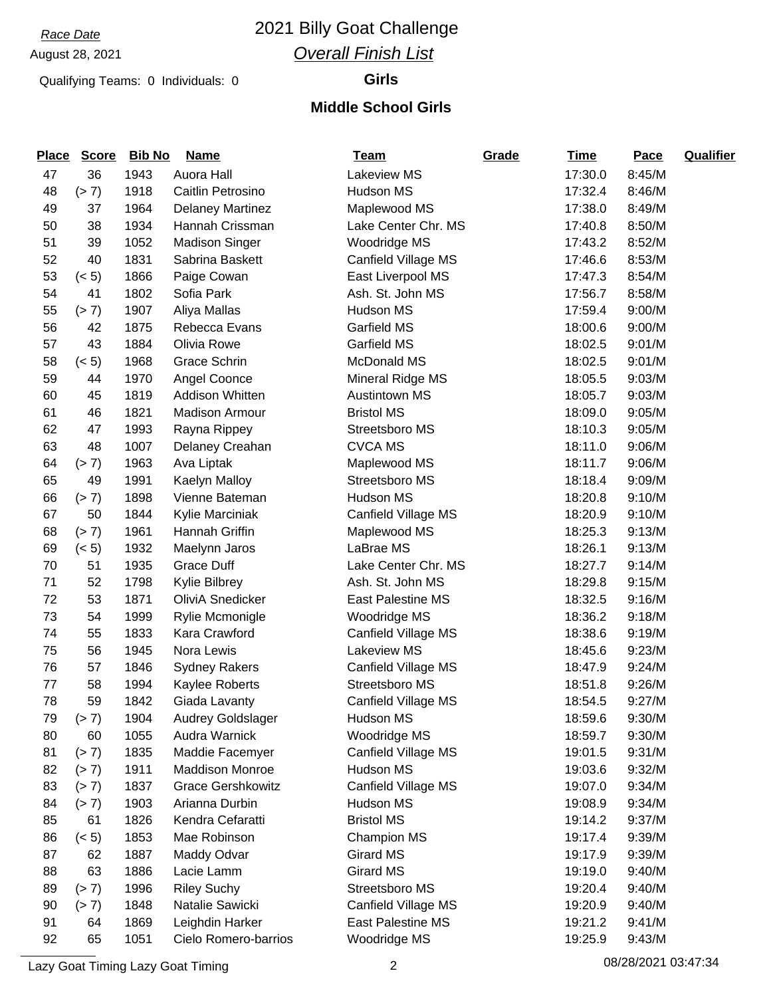# *Race Date* 2021 Billy Goat Challenge *Overall Finish List*

Qualifying Teams: 0 Individuals: 0 **Girls**

#### **Middle School Girls**

| <b>Place</b> | <b>Score</b> | <b>Bib No</b> | <b>Name</b>              | <u>Team</u>              | Grade | <b>Time</b> | Pace   | <b>Qualifier</b> |
|--------------|--------------|---------------|--------------------------|--------------------------|-------|-------------|--------|------------------|
| 47           | 36           | 1943          | Auora Hall               | <b>Lakeview MS</b>       |       | 17:30.0     | 8:45/M |                  |
| 48           | (> 7)        | 1918          | Caitlin Petrosino        | Hudson MS                |       | 17:32.4     | 8:46/M |                  |
| 49           | 37           | 1964          | Delaney Martinez         | Maplewood MS             |       | 17:38.0     | 8:49/M |                  |
| 50           | 38           | 1934          | Hannah Crissman          | Lake Center Chr. MS      |       | 17:40.8     | 8:50/M |                  |
| 51           | 39           | 1052          | <b>Madison Singer</b>    | Woodridge MS             |       | 17:43.2     | 8:52/M |                  |
| 52           | 40           | 1831          | Sabrina Baskett          | Canfield Village MS      |       | 17:46.6     | 8:53/M |                  |
| 53           | (< 5)        | 1866          | Paige Cowan              | East Liverpool MS        |       | 17:47.3     | 8:54/M |                  |
| 54           | 41           | 1802          | Sofia Park               | Ash. St. John MS         |       | 17:56.7     | 8:58/M |                  |
| 55           | (> 7)        | 1907          | Aliya Mallas             | Hudson MS                |       | 17:59.4     | 9:00/M |                  |
| 56           | 42           | 1875          | Rebecca Evans            | Garfield MS              |       | 18:00.6     | 9:00/M |                  |
| 57           | 43           | 1884          | Olivia Rowe              | Garfield MS              |       | 18:02.5     | 9:01/M |                  |
| 58           | (< 5)        | 1968          | Grace Schrin             | <b>McDonald MS</b>       |       | 18:02.5     | 9:01/M |                  |
| 59           | 44           | 1970          | Angel Coonce             | Mineral Ridge MS         |       | 18:05.5     | 9:03/M |                  |
| 60           | 45           | 1819          | <b>Addison Whitten</b>   | <b>Austintown MS</b>     |       | 18:05.7     | 9:03/M |                  |
| 61           | 46           | 1821          | <b>Madison Armour</b>    | <b>Bristol MS</b>        |       | 18:09.0     | 9:05/M |                  |
| 62           | 47           | 1993          | Rayna Rippey             | Streetsboro MS           |       | 18:10.3     | 9:05/M |                  |
| 63           | 48           | 1007          | Delaney Creahan          | <b>CVCA MS</b>           |       | 18:11.0     | 9:06/M |                  |
| 64           | (> 7)        | 1963          | Ava Liptak               | Maplewood MS             |       | 18:11.7     | 9:06/M |                  |
| 65           | 49           | 1991          | Kaelyn Malloy            | Streetsboro MS           |       | 18:18.4     | 9:09/M |                  |
| 66           | (> 7)        | 1898          | Vienne Bateman           | Hudson MS                |       | 18:20.8     | 9:10/M |                  |
| 67           | 50           | 1844          | Kylie Marciniak          | Canfield Village MS      |       | 18:20.9     | 9:10/M |                  |
| 68           | (> 7)        | 1961          | Hannah Griffin           | Maplewood MS             |       | 18:25.3     | 9:13/M |                  |
| 69           | (< 5)        | 1932          | Maelynn Jaros            | LaBrae MS                |       | 18:26.1     | 9:13/M |                  |
| 70           | 51           | 1935          | <b>Grace Duff</b>        | Lake Center Chr. MS      |       | 18:27.7     | 9:14/M |                  |
| 71           | 52           | 1798          | Kylie Bilbrey            | Ash. St. John MS         |       | 18:29.8     | 9:15/M |                  |
| 72           | 53           | 1871          | OliviA Snedicker         | <b>East Palestine MS</b> |       | 18:32.5     | 9:16/M |                  |
| 73           | 54           | 1999          | Rylie Mcmonigle          | Woodridge MS             |       | 18:36.2     | 9:18/M |                  |
| 74           | 55           | 1833          | Kara Crawford            | Canfield Village MS      |       | 18:38.6     | 9:19/M |                  |
| 75           | 56           | 1945          | Nora Lewis               | Lakeview MS              |       | 18:45.6     | 9:23/M |                  |
| 76           | 57           | 1846          | <b>Sydney Rakers</b>     | Canfield Village MS      |       | 18:47.9     | 9:24/M |                  |
| 77           | 58           | 1994          | Kaylee Roberts           | Streetsboro MS           |       | 18:51.8     | 9:26/M |                  |
| 78           | 59           | 1842          | Giada Lavanty            | Canfield Village MS      |       | 18:54.5     | 9:27/M |                  |
| 79           | (> 7)        | 1904          | <b>Audrey Goldslager</b> | Hudson MS                |       | 18:59.6     | 9:30/M |                  |
| 80           | 60           | 1055          | Audra Warnick            | Woodridge MS             |       | 18:59.7     | 9:30/M |                  |
| 81           | (> 7)        | 1835          | Maddie Facemyer          | Canfield Village MS      |       | 19:01.5     | 9:31/M |                  |
| 82           | (> 7)        | 1911          | <b>Maddison Monroe</b>   | Hudson MS                |       | 19:03.6     | 9:32/M |                  |
| 83           | (> 7)        | 1837          | <b>Grace Gershkowitz</b> | Canfield Village MS      |       | 19:07.0     | 9:34/M |                  |
| 84           | (> 7)        | 1903          | Arianna Durbin           | Hudson MS                |       | 19:08.9     | 9:34/M |                  |
| 85           | 61           | 1826          | Kendra Cefaratti         | <b>Bristol MS</b>        |       | 19:14.2     | 9:37/M |                  |
| 86           | (< 5)        | 1853          | Mae Robinson             | <b>Champion MS</b>       |       | 19:17.4     | 9:39/M |                  |
| 87           | 62           | 1887          | Maddy Odvar              | <b>Girard MS</b>         |       | 19:17.9     | 9:39/M |                  |
| 88           | 63           | 1886          | Lacie Lamm               | <b>Girard MS</b>         |       | 19:19.0     | 9:40/M |                  |
| 89           | (> 7)        | 1996          | <b>Riley Suchy</b>       | Streetsboro MS           |       | 19:20.4     | 9:40/M |                  |
| 90           | (> 7)        | 1848          | Natalie Sawicki          | Canfield Village MS      |       | 19:20.9     | 9:40/M |                  |
| 91           | 64           | 1869          | Leighdin Harker          | East Palestine MS        |       | 19:21.2     | 9:41/M |                  |
| 92           | 65           | 1051          | Cielo Romero-barrios     | Woodridge MS             |       | 19:25.9     | 9:43/M |                  |

Lazy Goat Timing Lazy Goat Timing 2 08/28/2021 03:47:34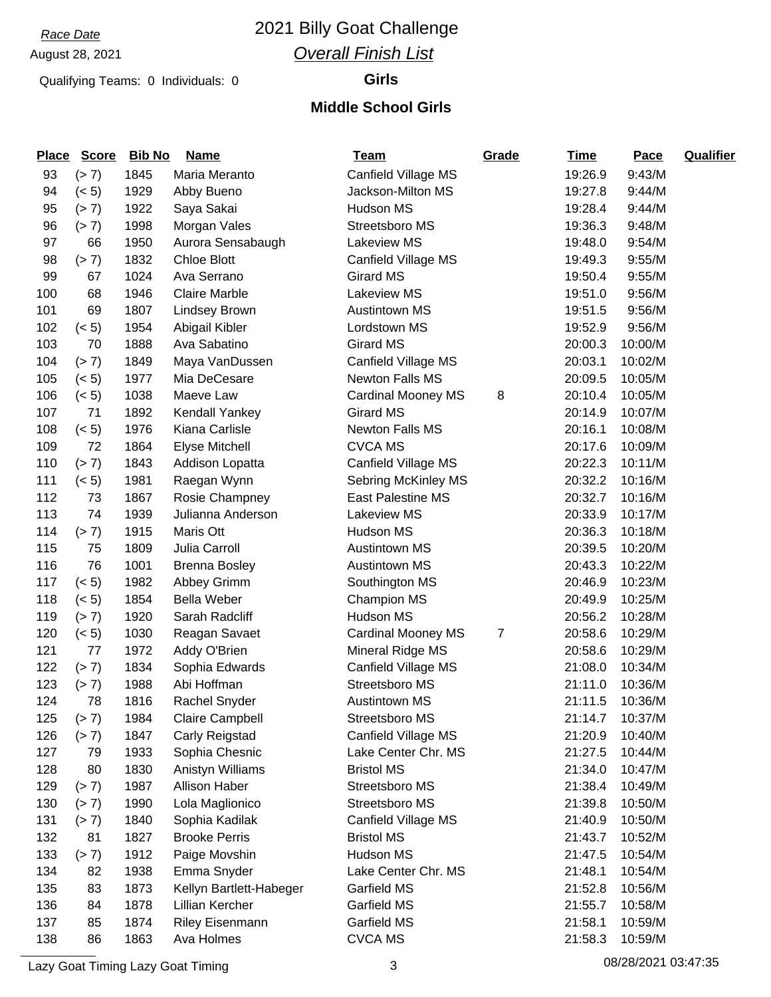# *Race Date* 2021 Billy Goat Challenge *Overall Finish List*

Qualifying Teams: 0 Individuals: 0 **Girls**

#### **Middle School Girls**

| <b>Place</b> | <b>Score</b> | <b>Bib No</b> | <b>Name</b>             | <u>Team</u>               | Grade | <b>Time</b> | Pace    | <b>Qualifier</b> |
|--------------|--------------|---------------|-------------------------|---------------------------|-------|-------------|---------|------------------|
| 93           | (> 7)        | 1845          | Maria Meranto           | Canfield Village MS       |       | 19:26.9     | 9:43/M  |                  |
| 94           | (< 5)        | 1929          | Abby Bueno              | Jackson-Milton MS         |       | 19:27.8     | 9:44/M  |                  |
| 95           | (> 7)        | 1922          | Saya Sakai              | Hudson MS                 |       | 19:28.4     | 9:44/M  |                  |
| 96           | (> 7)        | 1998          | Morgan Vales            | Streetsboro MS            |       | 19:36.3     | 9:48/M  |                  |
| 97           | 66           | 1950          | Aurora Sensabaugh       | Lakeview MS               |       | 19:48.0     | 9:54/M  |                  |
| 98           | (> 7)        | 1832          | <b>Chloe Blott</b>      | Canfield Village MS       |       | 19:49.3     | 9:55/M  |                  |
| 99           | 67           | 1024          | Ava Serrano             | <b>Girard MS</b>          |       | 19:50.4     | 9:55/M  |                  |
| 100          | 68           | 1946          | <b>Claire Marble</b>    | <b>Lakeview MS</b>        |       | 19:51.0     | 9:56/M  |                  |
| 101          | 69           | 1807          | <b>Lindsey Brown</b>    | <b>Austintown MS</b>      |       | 19:51.5     | 9:56/M  |                  |
| 102          | (< 5)        | 1954          | Abigail Kibler          | Lordstown MS              |       | 19:52.9     | 9:56/M  |                  |
| 103          | 70           | 1888          | Ava Sabatino            | <b>Girard MS</b>          |       | 20:00.3     | 10:00/M |                  |
| 104          | (> 7)        | 1849          | Maya VanDussen          | Canfield Village MS       |       | 20:03.1     | 10:02/M |                  |
| 105          | (< 5)        | 1977          | Mia DeCesare            | <b>Newton Falls MS</b>    |       | 20:09.5     | 10:05/M |                  |
| 106          | (< 5)        | 1038          | Maeve Law               | <b>Cardinal Mooney MS</b> | 8     | 20:10.4     | 10:05/M |                  |
| 107          | 71           | 1892          | Kendall Yankey          | <b>Girard MS</b>          |       | 20:14.9     | 10:07/M |                  |
| 108          | (< 5)        | 1976          | Kiana Carlisle          | <b>Newton Falls MS</b>    |       | 20:16.1     | 10:08/M |                  |
| 109          | 72           | 1864          | <b>Elyse Mitchell</b>   | <b>CVCA MS</b>            |       | 20:17.6     | 10:09/M |                  |
| 110          | (> 7)        | 1843          | Addison Lopatta         | Canfield Village MS       |       | 20:22.3     | 10:11/M |                  |
| 111          | (< 5)        | 1981          | Raegan Wynn             | Sebring McKinley MS       |       | 20:32.2     | 10:16/M |                  |
| 112          | 73           | 1867          | Rosie Champney          | <b>East Palestine MS</b>  |       | 20:32.7     | 10:16/M |                  |
| 113          | 74           | 1939          | Julianna Anderson       | Lakeview MS               |       | 20:33.9     | 10:17/M |                  |
| 114          | (> 7)        | 1915          | Maris Ott               | Hudson MS                 |       | 20:36.3     | 10:18/M |                  |
| 115          | 75           | 1809          | Julia Carroll           | <b>Austintown MS</b>      |       | 20:39.5     | 10:20/M |                  |
| 116          | 76           | 1001          | <b>Brenna Bosley</b>    | <b>Austintown MS</b>      |       | 20:43.3     | 10:22/M |                  |
| 117          | (< 5)        | 1982          | Abbey Grimm             | Southington MS            |       | 20:46.9     | 10:23/M |                  |
| 118          | (< 5)        | 1854          | <b>Bella Weber</b>      | <b>Champion MS</b>        |       | 20:49.9     | 10:25/M |                  |
| 119          | (> 7)        | 1920          | Sarah Radcliff          | Hudson MS                 |       | 20:56.2     | 10:28/M |                  |
| 120          | (< 5)        | 1030          | Reagan Savaet           | <b>Cardinal Mooney MS</b> | 7     | 20:58.6     | 10:29/M |                  |
| 121          | 77           | 1972          | Addy O'Brien            | Mineral Ridge MS          |       | 20:58.6     | 10:29/M |                  |
| 122          | (> 7)        | 1834          | Sophia Edwards          | Canfield Village MS       |       | 21:08.0     | 10:34/M |                  |
| 123          | (> 7)        | 1988          | Abi Hoffman             | Streetsboro MS            |       | 21:11.0     | 10:36/M |                  |
| 124          | 78           | 1816          | Rachel Snyder           | <b>Austintown MS</b>      |       | 21:11.5     | 10:36/M |                  |
| 125          | (> 7)        | 1984          | Claire Campbell         | Streetsboro MS            |       | 21:14.7     | 10:37/M |                  |
| 126          | (> 7)        | 1847          | Carly Reigstad          | Canfield Village MS       |       | 21:20.9     | 10:40/M |                  |
| 127          | 79           | 1933          | Sophia Chesnic          | Lake Center Chr. MS       |       | 21:27.5     | 10:44/M |                  |
| 128          | 80           | 1830          | Anistyn Williams        | <b>Bristol MS</b>         |       | 21:34.0     | 10:47/M |                  |
| 129          | (> 7)        | 1987          | Allison Haber           | Streetsboro MS            |       | 21:38.4     | 10:49/M |                  |
| 130          | (> 7)        | 1990          | Lola Maglionico         | Streetsboro MS            |       | 21:39.8     | 10:50/M |                  |
| 131          | (> 7)        | 1840          | Sophia Kadilak          | Canfield Village MS       |       | 21:40.9     | 10:50/M |                  |
| 132          | 81           | 1827          | <b>Brooke Perris</b>    | <b>Bristol MS</b>         |       | 21:43.7     | 10:52/M |                  |
| 133          | (> 7)        | 1912          | Paige Movshin           | Hudson MS                 |       | 21:47.5     | 10:54/M |                  |
| 134          | 82           | 1938          | Emma Snyder             | Lake Center Chr. MS       |       | 21:48.1     | 10:54/M |                  |
| 135          | 83           | 1873          | Kellyn Bartlett-Habeger | Garfield MS               |       | 21:52.8     | 10:56/M |                  |
| 136          | 84           | 1878          | Lillian Kercher         | Garfield MS               |       | 21:55.7     | 10:58/M |                  |
| 137          | 85           | 1874          | Riley Eisenmann         | Garfield MS               |       | 21:58.1     | 10:59/M |                  |
| 138          | 86           | 1863          | Ava Holmes              | <b>CVCA MS</b>            |       | 21:58.3     | 10:59/M |                  |

Lazy Goat Timing Lazy Goat Timing 3 1 2012 1 2014 1 2022 1 2023/2021 1 2023/2021 1 2023/2021 1 2024 1 2024 1 20